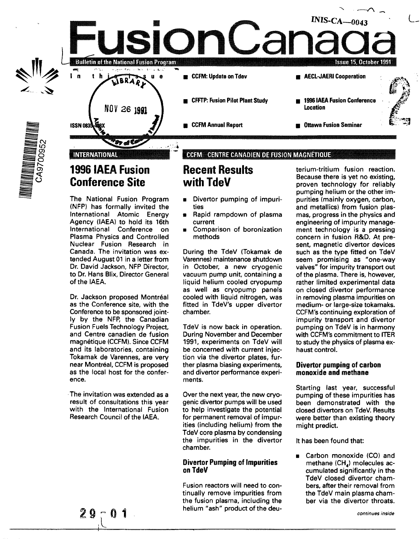

# **1996 IAEA Fusion Conference Site**

The National Fusion Program (NFP) has formally invited the International Atomic Energy Agency (IAEA) to hold its 16th International Conference on Plasma Physics and Controlled Nuclear Fusion Research in Canada. The invitation was extended August 01 in a letter from Dr. David Jackson, NFP Director, to Dr. Hans Blix, Director General of the IAEA.

Dr. Jackson proposed Montréal as the Conference site, with the Conference to be sponsored jointly by the NFP, the Canadian Fusion Fuels Technology Project, and Centre canadien de fusion magnetique (CCFM). Since CCFM and its laboratories, containing Tokamak de Varennes, are very near Montréal, CCFM is proposed as the local host for the conference.

The invitation was extended as a result of consultations this year with the International Fusion Research Council of the IAEA.

**1**

# **Recent Results with TdeV**

- Divertor pumping of impurities
- Rapid rampdown of plasma current
- Comparison of boronization methods

During the TdeV (Tokamak de Varennes) maintenance shutdown in October, a new cryogenic vacuum pump unit, containing a liquid helium cooled cryopump as well as cryopump panels cooled with liquid nitrogen, was fitted in TdeV's upper divertor chamber.

TdeV is now back in operation. During November and December 1991, experiments on TdeV will be concerned with current injection via the divertor plates, further plasma biasing experiments, and divertor performance experiments.

Over the next year, the new cryogenic divertor pumps will be used to help investigate the potential for permanent removal of impurities (including helium) from the TdeV core plasma by condensing the impurities in the divertor chamber.

### **Divertor Pumping of Impurities on TdeV**

Fusion reactors will need to continually remove impurities from the fusion plasma, including the helium "ash" product of the deuterium-tritium fusion reaction. Because there is yet no existing, proven technology for reliably pumping helium or the other impurities (mainly oxygen, carbon, and metallics) from fusion plasmas, progress in the physics and engineering of impurity management technology is a pressing concern in fusion R&D. At present, magnetic divertor devices such as the type fitted on TdeV seem promising as "one-way valves" for impurity transport out of the plasma. There is, however, rather limited experimental data on closed divertor performance in removing plasma impurities on medium- or large-size tokamaks. CCFM's continuing exploration of impurity transport and divertor pumping on TdeV is in harmony with CCFM's commitment to ITER to study the physics of plasma exhaust control.

### **Divertor pumping of carbon monoxide and methane**

Starting last year, successful pumping of these impurities has been demonstrated with the closed divertors on TdeV. Results were better than existing theory might predict.

It has been found that:

Carbon monoxide (CO) and methane  $(CH_A)$  molecules accumulated significantly in the TdeV closed divertor chambers, after their removal from the TdeV main plasma chamber via the divertor throats.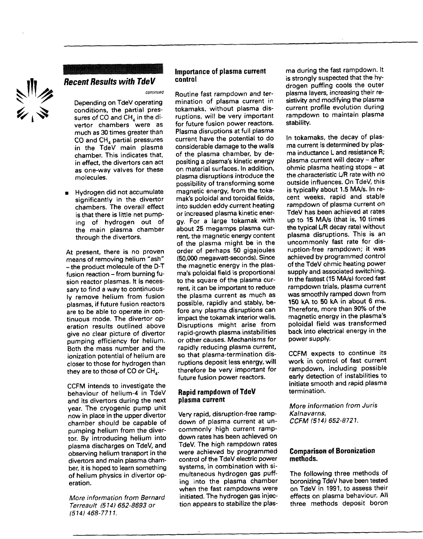

## **Recent Results with TdeV**

continued

Depending on TdeV operating conditions, the partial pressures of CO and  $CH<sub>4</sub>$  in the divertor chambers were as much as 30 times greater than CO and CH<sub>4</sub> partial pressures in the TdeV main plasma chamber. This indicates that, in effect, the divertors can act as one-way valves for these molecules.

• Hydrogen did not accumulate significantly in the divertor chambers. The overall effect is that there is little net pumping of hydrogen out of the main plasma chamber through the divertors.

At present, there is no proven means of removing helium "ash" -the product molecule of the D-T fusion reaction - from burning fusion reactor plasmas. It is necessary to find a way to continuously remove helium from fusion plasmas, if future fusion reactors are to be able to operate in continuous mode. The divertor operation results outlined above give no clear picture of divertor pumping efficiency for helium. Both the mass number and the ionization potential of helium are closer to those for hydrogen than they are to those of CO or  $CH_{4}$ .

CCFM intends to investigate the behaviour of helium-4 in TdeV and its divertors during the next year. The cryogenic pump unit now in place in the upper divertor chamber should be capable of pumping helium from the divertor. By introducing helium into plasma discharges on TdeV, and observing helium transport in the divertors and main plasma chamber, it is hoped to learn something of helium physics in divertor operation.

More information from Bernard Terreault (514) 652-8693 or  $(514)$  468-7711.

#### **Importance of plasma current control**

Routine fast rampdown and termination of plasma current in tokamaks, without plasma disruptions, will be very important for future fusion power reactors. Plasma disruptions at full plasma current have the potential to do considerable damage to the walls of the plasma chamber, by depositing a plasma's kinetic energy on material surfaces. In addition, plasma disruptions introduce the possibility of transforming some magnetic energy, from the tokamak's poloidal and toroidal fields, into sudden eddy current heating or increased plasma kinetic energy. For a large tokamak with about 25 megamps plasma current, the magnetic energy content of the plasma might be in the order of perhaps 50 gigajoules (50,000 megawatt-seconds). Since the magnetic energy in the plasma's poloidal field is proportional to the square of the plasma current, it can be important to reduce the plasma current as much as possible, rapidly and stably, before any plasma disruptions can impact the tokamak interior walls. Disruptions might arise from rapid-growth plasma instabilities or other causes. Mechanisms for rapidly reducing plasma current, so that plasma-termination disruptions deposit less energy, will therefore be very important for future fusion power reactors.

#### **Rapid rampdown of TdeV plasma current**

Very rapid, disruption-free rampdown of plasma current at uncommonly high current rampdown rates has been achieved on TdeV. The high rampdown rates were achieved by programmed control of the TdeV electric power systems, in combination with simultaneous hydrogen gas puffing into the plasma chamber when the fast rampdowns were initiated. The hydrogen gas injection appears to stabilize the plas-

ma during the fast rampdown. It is strongly suspected that the hydrogen puffing cools the outer plasma layers, increasing their resistivity and modifying the plasma current profile evolution during rampdown to maintain plasma stability.

In tokamaks, the decay of plasma current is determined by plasma inductance L and resistance R; plasma current will decay - after ohmic plasma heating stops - at the characteristic L/R rate with no outside influences. On TdeV, this is typically about 1.5 MA/s. In recent weeks, rapid and stable rampdown of plasma current on TdeV has been achieved at rates up to 15 MA/s (that is, 10 times the typical L/R decay rate) without plasma disruptions. This is an uncommonly fast rate for disruption-free rampdown; it was achieved by programmed control of the TdeV ohmic heating power supply and associated switching. In the fastest (15 MA/s) forced fast rampdown trials, plasma current was smoothly ramped down from 150 kA to 50 kA in about 6 ms. Therefore, more than 90% of the magnetic energy in the plasma's poloidal field was transformed back into electrical energy in the power supply.

CCFM expects to continue its work in control of fast current rampdown, including possible early detection of instabilities to initiate smooth and rapid plasma termination.

More information from Juris Kalnavarns, CCFM (514) 652-8721.

#### **Comparison of Boronization methods.**

The following three methods of boronizing TdeV have been tested on TdeV in 1991, to assess their effects on plasma behaviour. All three methods deposit boron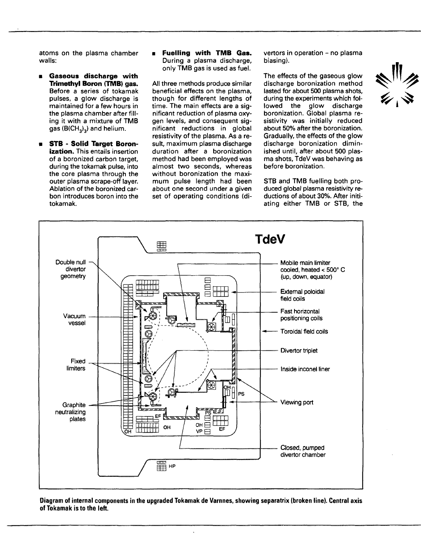atoms on the plasma chamber walls:

- **Gaseous discharge with Trimethyl Boron (TMB) gas.** Before a series of tokamak pulses, a glow discharge is maintained for a few hours in the plasma chamber after filling it with a mixture of TMB gas  $(B(CH_3)_3)$  and helium.
- **STB** - **Solid Target Boronization.** This entails insertion of a boronized carbon target, during the tokamak pulse, into the core plasma through the outer plasma scrape-off layer. Ablation of the boronized carbon introduces boron into the tokamak.

**• Fuelling with TMB Gas.** During a plasma discharge, only TMB gas is used as fuel.

All three methods produce similar beneficial effects on the plasma, though for different lengths of time. The main effects are a significant reduction of plasma oxygen levels, and consequent significant reductions in global resistivity of the plasma. As a result, maximum plasma discharge duration after a boronization method had been employed was almost two seconds, whereas without boronization the maximum pulse length had been about one second under a given set of operating conditions (divertors in operation - no plasma biasing).

The effects of the gaseous glow discharge boronization method lasted for about 500 plasma shots, during the experiments which followed the glow discharge boronization. Global plasma resistivity was initially reduced about 50% after the boronization. Gradually, the effects of the glow discharge boronization diminished until, after about 500 plasma shots, TdeV was behaving as before boronization.

STB and TMB fuelling both produced global plasma resistivity reductions of about 30%. After initiating either TMB or STB, the



**Diagram of internal components in the upgraded Tokamak** de **Varnnes, showing separatrix (broken line). Central axis of Tokamak is to the left.**

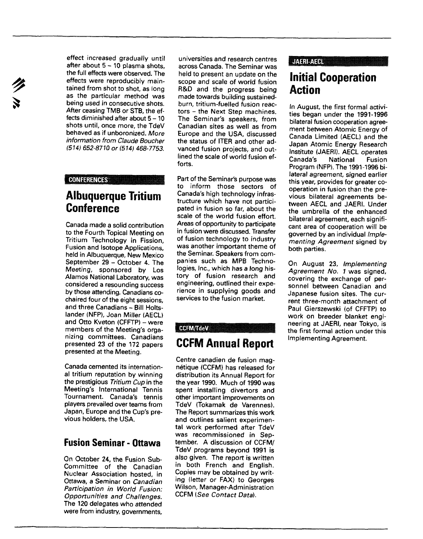effect increased gradually until after about  $5 - 10$  plasma shots. the full effects were observed. The effects were reproducibly maintained from shot to shot, as long as the particular method was being used in consecutive shots. After ceasing TMB or STB, the effects diminished after about 5-10 shots until, once more, the TdeV behaved as if unboronized. More information from Claude Boucher (514) 652-8710 or (514) 468-7753.

#### CONFERENCES

## **Albuquerque Tritium Conference**

Canada made a solid contribution to the Fourth Topical Meeting on Tritium Technology in Fission, Fusion and Isotope Applications, held in Albuquerque, New Mexico September 29 - October 4. The Meeting, sponsored by Los Alamos National Laboratory, was considered a resounding success by those attending. Canadians cochaired four of the eight sessions, and three Canadians - Bill Holtslander (NFP), Joan Miller (AECL) and Otto Kveton (CFFTP) - were members of the Meeting's organizing committees. Canadians presented 23 of the 172 papers presented at the Meeting.

Canada cemented its international tritium reputation by winning the prestigious Tritium Cup in the Meeting's International Tennis Tournament. Canada's tennis players prevailed over teams from Japan, Europe and the Cup's previous holders, the USA.

## **Fusion Seminar - Ottawa**

On October 24, the Fusion Sub-Committee of the Canadian Nuclear Association hosted, in Ottawa, a Seminar on Canadian Participation in World Fusion: Opportunities and Challenges. The 120 delegates who attended were from industry, governments,

universities and research centres across Canada. The Seminar was held to present an update on the scope and scale of world fusion R&D and the progress being made towards building sustainedburn, tritium-fuelled fusion reactors - the Next Step machines. The Seminar's speakers, from Canadian sites as well as from Europe and the USA, discussed the status of ITER and other advanced fusion projects, and outlined the scale of world fusion efforts.

Part of the Seminar's purpose was to inform those sectors of Canada's high technology infrastructure which have not participated in fusion so far, about the scale of the world fusion effort. Areas of opportunity to participate in fusion were discussed. Transfer of fusion technology to industry was another important theme of the Seminar. Speakers from companies such as MPB Technologies, Inc., which has a long history of fusion research and engineering, outlined their experience in supplying goods and services to the fusion market.

#### CCFM/TdeV

## **CCFM Annual Report**

Centre canadien de fusion magnétique (CCFM) has released for distribution its Annual Report for the year 1990. Much of 1990 was spent installing divertors and other important improvements on TdeV (Tokamak de Varennes). The Report summarizes this work and outlines salient experimental work performed after TdeV was recommissioned in September. A discussion of CCFM/ TdeV programs beyond 1991 is also given. The report is written in both French and English. Copies may be obtained by writing (letter or FAX) to Georges Wilson, Manager-Administration CCFM (See Contact Data).

### **JAERIALE**

# **Initial Cooperation Action**

In August, the first formal activities began under the 1991-1996 bilateral fusion cooperation agreement between Atomic Energy of Canada Limited (AECL) and the Japan Atomic Energy Research Institute (JAERI). AECL operates Canada's National Fusion Program (NFP). The 1991-1996 bilateral agreement, signed earlier this year, provides for greater cooperation in fusion than the previous bilateral agreements between AECL and JAERI. Under the umbrella of the enhanced bilateral agreement, each significant area of cooperation will be governed by an individual Implementing Agreement signed by both parties.

On August 23, Implementing Agreement No. 1 was signed. covering the exchange of personnel between Canadian and Japanese fusion sites. The current three-month attachment of Paul Gierszewski (of CFFTP) to work on breeder blanket engineering at JAERI, near Tokyo, is the first formal action under this Implementing Agreement.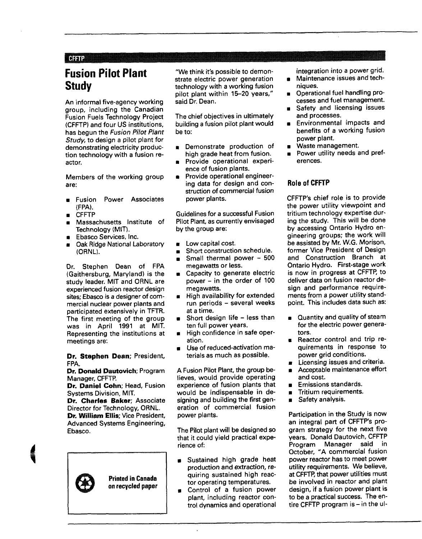#### **CFFTP**

# **Fusion Pilot Plant Study**

An informal five-agency working group, including the Canadian Fusion Fuels Technology Project (CFFTP) and four US institutions, has begun the Fusion Pilot Plant Study, to design a pilot plant for demonstrating electricity production technology with a fusion reactor.

Members of the working group are:

- **Example Power Associates** (FPA).
- CFFTP
- Massachusetts Institute of Technology (MIT).
- Ebasco Services, Inc.
- Oak Ridge National Laboratory (ORNL).

Dr. Stephen Dean of FPA (Gaithersburg, Maryland) is the study leader. MIT and ORNL are experienced fusion reactor design sites; Ebasco is a designer of commercial nuclear power plants and participated extensively in TFTR. The first meeting of the group was in April 1991 at MIT. Representing the institutions at meetings are:

**Dr. Stephen Dean;** President, FPA.

**Dr. Donald Dautovich;** Program Manager, CFFTP.

**Dr. Daniel Cohn;** Head, Fusion Systems Division, MIT.

**Dr. Charles Baker;** Associate Director for Technology, ORNL. **Dr. William Ellis;** Vice President, Advanced Systems Engineering, Ebasco.



"We think it's possible to demonstrate electric power generation technology with a working fusion pilot plant within 15-20 years," said Dr. Dean.

The chief objectives in ultimately building a fusion pilot plant would be to:

- Demonstrate production of high grade heat from fusion.
- Provide operational experience of fusion plants.
- Provide operational engineering data for design and construction of commercial fusion power plants.

Guidelines for a successful Fusion Pilot Plant, as currently envisaged by the group are:

- **•** Low capital cost.
- Short construction schedule.
- Small thermal power 500 megawatts or less.
- **Capacity to generate electric**
- power in the order of 100 megawatts.
- **F** High availability for extended run periods - several weeks at a time.
- Short design life less than ten full power years.
- **E** High confidence in safe operation.
- Use of reduced-activation materials as much as possible.

A Fusion Pilot Plant, the group believes, would provide operating experience of fusion plants that would be indispensable in designing and building the first generation of commercial fusion power plants.

The Pilot plant will be designed so that it could yield practical experience of:

- Sustained high grade heat production and extraction, requiring sustained high reactor operating temperatures.
- Control of a fusion power plant, including reactor control dynamics and operational

integration into a power grid. Maintenance issues and tech-

- niques. Operational fuel handling pro- $\blacksquare$
- cesses and fuel management. Safety and licensing issues
- and processes. Environmental impacts and benefits of a working fusion
- power plant. Waste management.  $\blacksquare$
- Power utility needs and preferences.

### **Role of CFFTP**

CFFTP's chief role is to provide the power utility viewpoint and tritium technology expertise during the study. This will be done by accessing Ontario Hydro engineering groups; the work will be assisted by Mr. W.G. Morison, former Vice President of Design and Construction Branch at Ontario Hydro. First-stage work is now in progress at CFFTP, to deliver data on fusion reactor design and performance requirements from a power utility standpoint. This includes data such as:

- Quantity and quality of steam for the electric power generators.
- Reactor control and trip requirements in response to power grid conditions.
- Licensing issues and criteria.
- Acceptable maintenance effort  $\blacksquare$ and cost.
- Emissions standards.  $\blacksquare$
- $\blacksquare$ Tritium requirements.
- Safety analysis.  $\blacksquare$

Participation in the Study is now an integral part of CFFTP's program strategy for the next five years. Donald Dautovich, CFFTP Program Manager said in October, "A commercial fusion power reactor has to meet power utility requirements. We believe, at CFFTP, that power utilities must be involved in reactor and plant design, if a fusion power plant is to be a practical success. The entire CFFTP program is  $-$  in the ul-